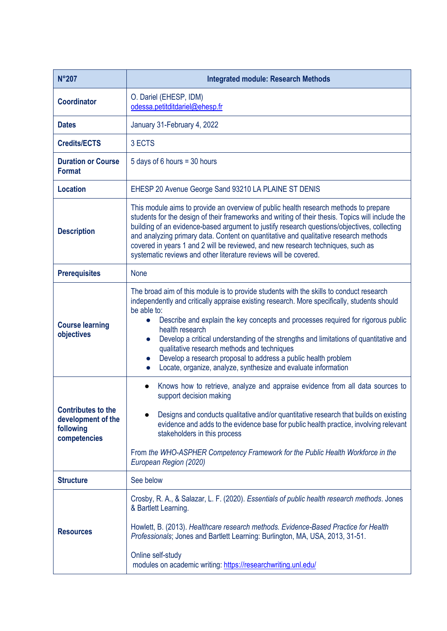| <b>N°207</b>                                                                 | <b>Integrated module: Research Methods</b>                                                                                                                                                                                                                                                                                                                                                                                                                                                                                                                                               |
|------------------------------------------------------------------------------|------------------------------------------------------------------------------------------------------------------------------------------------------------------------------------------------------------------------------------------------------------------------------------------------------------------------------------------------------------------------------------------------------------------------------------------------------------------------------------------------------------------------------------------------------------------------------------------|
| <b>Coordinator</b>                                                           | O. Dariel (EHESP, IDM)<br>odessa.petitditdariel@ehesp.fr                                                                                                                                                                                                                                                                                                                                                                                                                                                                                                                                 |
| <b>Dates</b>                                                                 | January 31-February 4, 2022                                                                                                                                                                                                                                                                                                                                                                                                                                                                                                                                                              |
| <b>Credits/ECTS</b>                                                          | 3 ECTS                                                                                                                                                                                                                                                                                                                                                                                                                                                                                                                                                                                   |
| <b>Duration or Course</b><br><b>Format</b>                                   | 5 days of 6 hours = 30 hours                                                                                                                                                                                                                                                                                                                                                                                                                                                                                                                                                             |
| <b>Location</b>                                                              | EHESP 20 Avenue George Sand 93210 LA PLAINE ST DENIS                                                                                                                                                                                                                                                                                                                                                                                                                                                                                                                                     |
| <b>Description</b>                                                           | This module aims to provide an overview of public health research methods to prepare<br>students for the design of their frameworks and writing of their thesis. Topics will include the<br>building of an evidence-based argument to justify research questions/objectives, collecting<br>and analyzing primary data. Content on quantitative and qualitative research methods<br>covered in years 1 and 2 will be reviewed, and new research techniques, such as<br>systematic reviews and other literature reviews will be covered.                                                   |
| <b>Prerequisites</b>                                                         | <b>None</b>                                                                                                                                                                                                                                                                                                                                                                                                                                                                                                                                                                              |
| <b>Course learning</b><br>objectives                                         | The broad aim of this module is to provide students with the skills to conduct research<br>independently and critically appraise existing research. More specifically, students should<br>be able to:<br>Describe and explain the key concepts and processes required for rigorous public<br>health research<br>Develop a critical understanding of the strengths and limitations of quantitative and<br>qualitative research methods and techniques<br>Develop a research proposal to address a public health problem<br>Locate, organize, analyze, synthesize and evaluate information |
| <b>Contributes to the</b><br>development of the<br>following<br>competencies | Knows how to retrieve, analyze and appraise evidence from all data sources to<br>$\bullet$<br>support decision making<br>Designs and conducts qualitative and/or quantitative research that builds on existing<br>evidence and adds to the evidence base for public health practice, involving relevant<br>stakeholders in this process<br>From the WHO-ASPHER Competency Framework for the Public Health Workforce in the<br>European Region (2020)                                                                                                                                     |
| <b>Structure</b>                                                             | See below                                                                                                                                                                                                                                                                                                                                                                                                                                                                                                                                                                                |
| <b>Resources</b>                                                             | Crosby, R. A., & Salazar, L. F. (2020). Essentials of public health research methods. Jones<br>& Bartlett Learning.<br>Howlett, B. (2013). Healthcare research methods. Evidence-Based Practice for Health<br>Professionals; Jones and Bartlett Learning: Burlington, MA, USA, 2013, 31-51.<br>Online self-study<br>modules on academic writing: https://researchwriting.unl.edu/                                                                                                                                                                                                        |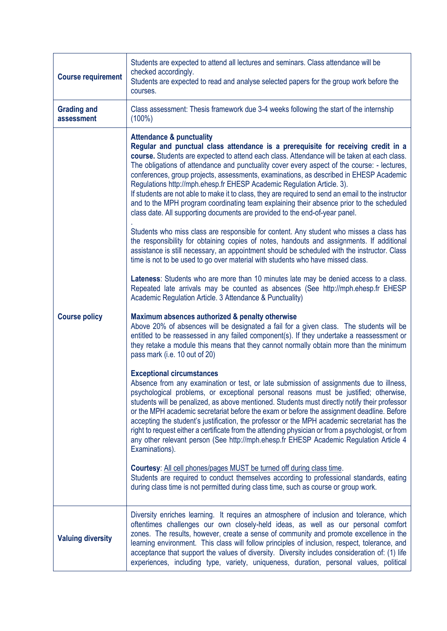| <b>Course requirement</b>        | Students are expected to attend all lectures and seminars. Class attendance will be<br>checked accordingly.<br>Students are expected to read and analyse selected papers for the group work before the<br>courses.                                                                                                                                                                                                                                                                                                                                                                                                                                                                                                                                                          |
|----------------------------------|-----------------------------------------------------------------------------------------------------------------------------------------------------------------------------------------------------------------------------------------------------------------------------------------------------------------------------------------------------------------------------------------------------------------------------------------------------------------------------------------------------------------------------------------------------------------------------------------------------------------------------------------------------------------------------------------------------------------------------------------------------------------------------|
| <b>Grading and</b><br>assessment | Class assessment: Thesis framework due 3-4 weeks following the start of the internship<br>$(100\%)$                                                                                                                                                                                                                                                                                                                                                                                                                                                                                                                                                                                                                                                                         |
| <b>Course policy</b>             | <b>Attendance &amp; punctuality</b><br>Regular and punctual class attendance is a prerequisite for receiving credit in a<br>course. Students are expected to attend each class. Attendance will be taken at each class.<br>The obligations of attendance and punctuality cover every aspect of the course: - lectures,<br>conferences, group projects, assessments, examinations, as described in EHESP Academic<br>Regulations http://mph.ehesp.fr EHESP Academic Regulation Article. 3).<br>If students are not able to make it to class, they are required to send an email to the instructor<br>and to the MPH program coordinating team explaining their absence prior to the scheduled<br>class date. All supporting documents are provided to the end-of-year panel. |
|                                  | Students who miss class are responsible for content. Any student who misses a class has<br>the responsibility for obtaining copies of notes, handouts and assignments. If additional<br>assistance is still necessary, an appointment should be scheduled with the instructor. Class<br>time is not to be used to go over material with students who have missed class.                                                                                                                                                                                                                                                                                                                                                                                                     |
|                                  | Lateness: Students who are more than 10 minutes late may be denied access to a class.<br>Repeated late arrivals may be counted as absences (See http://mph.ehesp.fr EHESP<br>Academic Regulation Article. 3 Attendance & Punctuality)                                                                                                                                                                                                                                                                                                                                                                                                                                                                                                                                       |
|                                  | Maximum absences authorized & penalty otherwise<br>Above 20% of absences will be designated a fail for a given class. The students will be<br>entitled to be reassessed in any failed component(s). If they undertake a reassessment or<br>they retake a module this means that they cannot normally obtain more than the minimum<br>pass mark (i.e. 10 out of 20)                                                                                                                                                                                                                                                                                                                                                                                                          |
|                                  | <b>Exceptional circumstances</b><br>Absence from any examination or test, or late submission of assignments due to illness,<br>psychological problems, or exceptional personal reasons must be justified; otherwise,<br>students will be penalized, as above mentioned. Students must directly notify their professor<br>or the MPH academic secretariat before the exam or before the assignment deadline. Before<br>accepting the student's justification, the professor or the MPH academic secretariat has the<br>right to request either a certificate from the attending physician or from a psychologist, or from<br>any other relevant person (See http://mph.ehesp.fr EHESP Academic Regulation Article 4<br>Examinations).                                        |
|                                  | Courtesy: All cell phones/pages MUST be turned off during class time.<br>Students are required to conduct themselves according to professional standards, eating<br>during class time is not permitted during class time, such as course or group work.                                                                                                                                                                                                                                                                                                                                                                                                                                                                                                                     |
| <b>Valuing diversity</b>         | Diversity enriches learning. It requires an atmosphere of inclusion and tolerance, which<br>oftentimes challenges our own closely-held ideas, as well as our personal comfort<br>zones. The results, however, create a sense of community and promote excellence in the<br>learning environment. This class will follow principles of inclusion, respect, tolerance, and<br>acceptance that support the values of diversity. Diversity includes consideration of: (1) life<br>experiences, including type, variety, uniqueness, duration, personal values, political                                                                                                                                                                                                        |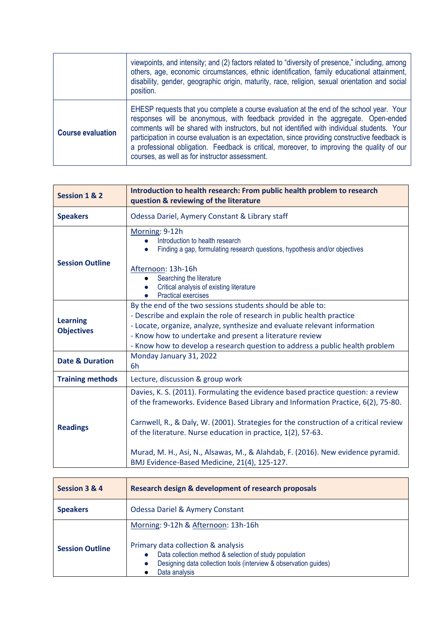|                          | viewpoints, and intensity; and (2) factors related to "diversity of presence," including, among<br>others, age, economic circumstances, ethnic identification, family educational attainment,<br>disability, gender, geographic origin, maturity, race, religion, sexual orientation and social<br>position.                                                                                                                                                                                                                  |
|--------------------------|-------------------------------------------------------------------------------------------------------------------------------------------------------------------------------------------------------------------------------------------------------------------------------------------------------------------------------------------------------------------------------------------------------------------------------------------------------------------------------------------------------------------------------|
| <b>Course evaluation</b> | EHESP requests that you complete a course evaluation at the end of the school year. Your<br>responses will be anonymous, with feedback provided in the aggregate. Open-ended<br>comments will be shared with instructors, but not identified with individual students. Your<br>participation in course evaluation is an expectation, since providing constructive feedback is<br>a professional obligation. Feedback is critical, moreover, to improving the quality of our<br>courses, as well as for instructor assessment. |

| Session 1 & 2                        | Introduction to health research: From public health problem to research<br>question & reviewing of the literature                                                                                                                                                                                                                                                                                                                                                |
|--------------------------------------|------------------------------------------------------------------------------------------------------------------------------------------------------------------------------------------------------------------------------------------------------------------------------------------------------------------------------------------------------------------------------------------------------------------------------------------------------------------|
| <b>Speakers</b>                      | Odessa Dariel, Aymery Constant & Library staff                                                                                                                                                                                                                                                                                                                                                                                                                   |
| <b>Session Outline</b>               | Morning: 9-12h<br>Introduction to health research<br>Finding a gap, formulating research questions, hypothesis and/or objectives<br>Afternoon: 13h-16h<br>Searching the literature<br>Critical analysis of existing literature<br><b>Practical exercises</b>                                                                                                                                                                                                     |
| <b>Learning</b><br><b>Objectives</b> | By the end of the two sessions students should be able to:<br>- Describe and explain the role of research in public health practice<br>- Locate, organize, analyze, synthesize and evaluate relevant information<br>- Know how to undertake and present a literature review<br>- Know how to develop a research question to address a public health problem                                                                                                      |
| <b>Date &amp; Duration</b>           | Monday January 31, 2022<br>6h                                                                                                                                                                                                                                                                                                                                                                                                                                    |
| <b>Training methods</b>              | Lecture, discussion & group work                                                                                                                                                                                                                                                                                                                                                                                                                                 |
| <b>Readings</b>                      | Davies, K. S. (2011). Formulating the evidence based practice question: a review<br>of the frameworks. Evidence Based Library and Information Practice, 6(2), 75-80.<br>Carnwell, R., & Daly, W. (2001). Strategies for the construction of a critical review<br>of the literature. Nurse education in practice, 1(2), 57-63.<br>Murad, M. H., Asi, N., Alsawas, M., & Alahdab, F. (2016). New evidence pyramid.<br>BMJ Evidence-Based Medicine, 21(4), 125-127. |

| Session 3 & 4          | Research design & development of research proposals                                                                                                                                                                                                |
|------------------------|----------------------------------------------------------------------------------------------------------------------------------------------------------------------------------------------------------------------------------------------------|
| <b>Speakers</b>        | <b>Odessa Dariel &amp; Aymery Constant</b>                                                                                                                                                                                                         |
| <b>Session Outline</b> | Morning: 9-12h & Afternoon: 13h-16h<br>Primary data collection & analysis<br>Data collection method & selection of study population<br>$\bullet$<br>Designing data collection tools (interview & observation guides)<br>$\bullet$<br>Data analysis |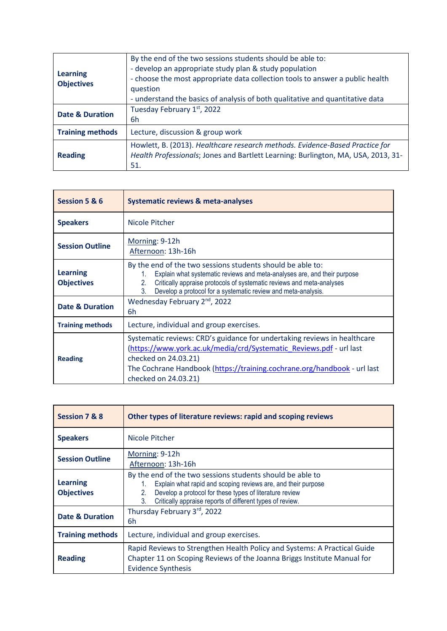| <b>Learning</b><br><b>Objectives</b> | By the end of the two sessions students should be able to:<br>- develop an appropriate study plan & study population<br>- choose the most appropriate data collection tools to answer a public health<br>question<br>- understand the basics of analysis of both qualitative and quantitative data |
|--------------------------------------|----------------------------------------------------------------------------------------------------------------------------------------------------------------------------------------------------------------------------------------------------------------------------------------------------|
| <b>Date &amp; Duration</b>           | Tuesday February 1st, 2022<br>6h                                                                                                                                                                                                                                                                   |
| <b>Training methods</b>              | Lecture, discussion & group work                                                                                                                                                                                                                                                                   |
| <b>Reading</b>                       | Howlett, B. (2013). Healthcare research methods. Evidence-Based Practice for<br>Health Professionals; Jones and Bartlett Learning: Burlington, MA, USA, 2013, 31-<br>51.                                                                                                                           |

| Session 5 & 6                        | <b>Systematic reviews &amp; meta-analyses</b>                                                                                                                                                                                                                                                      |
|--------------------------------------|----------------------------------------------------------------------------------------------------------------------------------------------------------------------------------------------------------------------------------------------------------------------------------------------------|
| <b>Speakers</b>                      | Nicole Pitcher                                                                                                                                                                                                                                                                                     |
| <b>Session Outline</b>               | Morning: 9-12h<br>Afternoon: 13h-16h                                                                                                                                                                                                                                                               |
| <b>Learning</b><br><b>Objectives</b> | By the end of the two sessions students should be able to:<br>Explain what systematic reviews and meta-analyses are, and their purpose<br>1.<br>Critically appraise protocols of systematic reviews and meta-analyses<br>2.<br>3.<br>Develop a protocol for a systematic review and meta-analysis. |
| <b>Date &amp; Duration</b>           | Wednesday February 2 <sup>nd</sup> , 2022<br>6h                                                                                                                                                                                                                                                    |
| <b>Training methods</b>              | Lecture, individual and group exercises.                                                                                                                                                                                                                                                           |
| <b>Reading</b>                       | Systematic reviews: CRD's guidance for undertaking reviews in healthcare<br>(https://www.york.ac.uk/media/crd/Systematic Reviews.pdf - url last<br>checked on 24.03.21)<br>The Cochrane Handbook (https://training.cochrane.org/handbook - url last<br>checked on 24.03.21)                        |

| Session 7 & 8                        | Other types of literature reviews: rapid and scoping reviews                                                                                                                                                                                                   |
|--------------------------------------|----------------------------------------------------------------------------------------------------------------------------------------------------------------------------------------------------------------------------------------------------------------|
| <b>Speakers</b>                      | Nicole Pitcher                                                                                                                                                                                                                                                 |
| <b>Session Outline</b>               | Morning: 9-12h<br>Afternoon: 13h-16h                                                                                                                                                                                                                           |
| <b>Learning</b><br><b>Objectives</b> | By the end of the two sessions students should be able to<br>Explain what rapid and scoping reviews are, and their purpose<br>Develop a protocol for these types of literature review<br>2.<br>Critically appraise reports of different types of review.<br>3. |
| <b>Date &amp; Duration</b>           | Thursday February 3rd, 2022<br>6h                                                                                                                                                                                                                              |
| <b>Training methods</b>              | Lecture, individual and group exercises.                                                                                                                                                                                                                       |
| <b>Reading</b>                       | Rapid Reviews to Strengthen Health Policy and Systems: A Practical Guide<br>Chapter 11 on Scoping Reviews of the Joanna Briggs Institute Manual for<br><b>Evidence Synthesis</b>                                                                               |